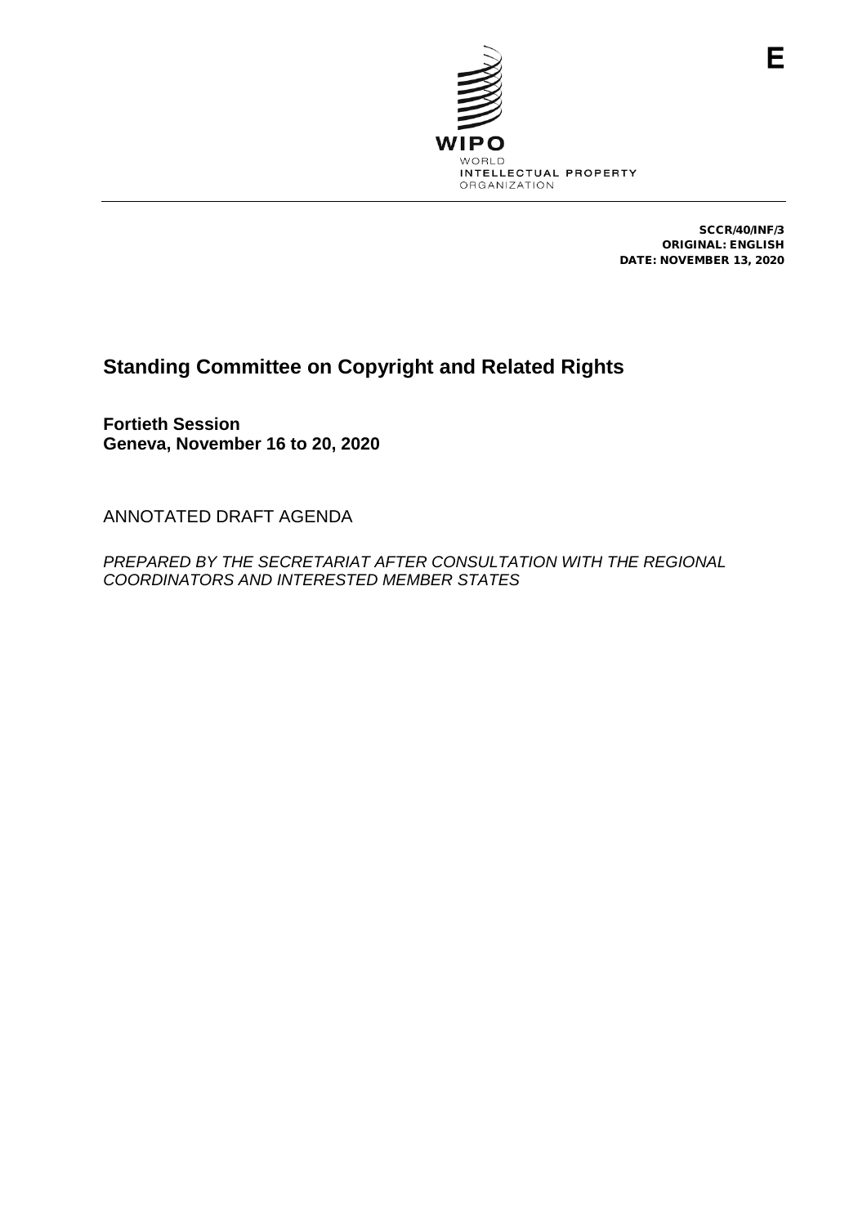

SCCR/40/INF/3 ORIGINAL: ENGLISH DATE: NOVEMBER 13, 2020

Е

# **Standing Committee on Copyright and Related Rights**

**Fortieth Session Geneva, November 16 to 20, 2020**

ANNOTATED DRAFT AGENDA

*PREPARED BY THE SECRETARIAT AFTER CONSULTATION WITH THE REGIONAL COORDINATORS AND INTERESTED MEMBER STATES*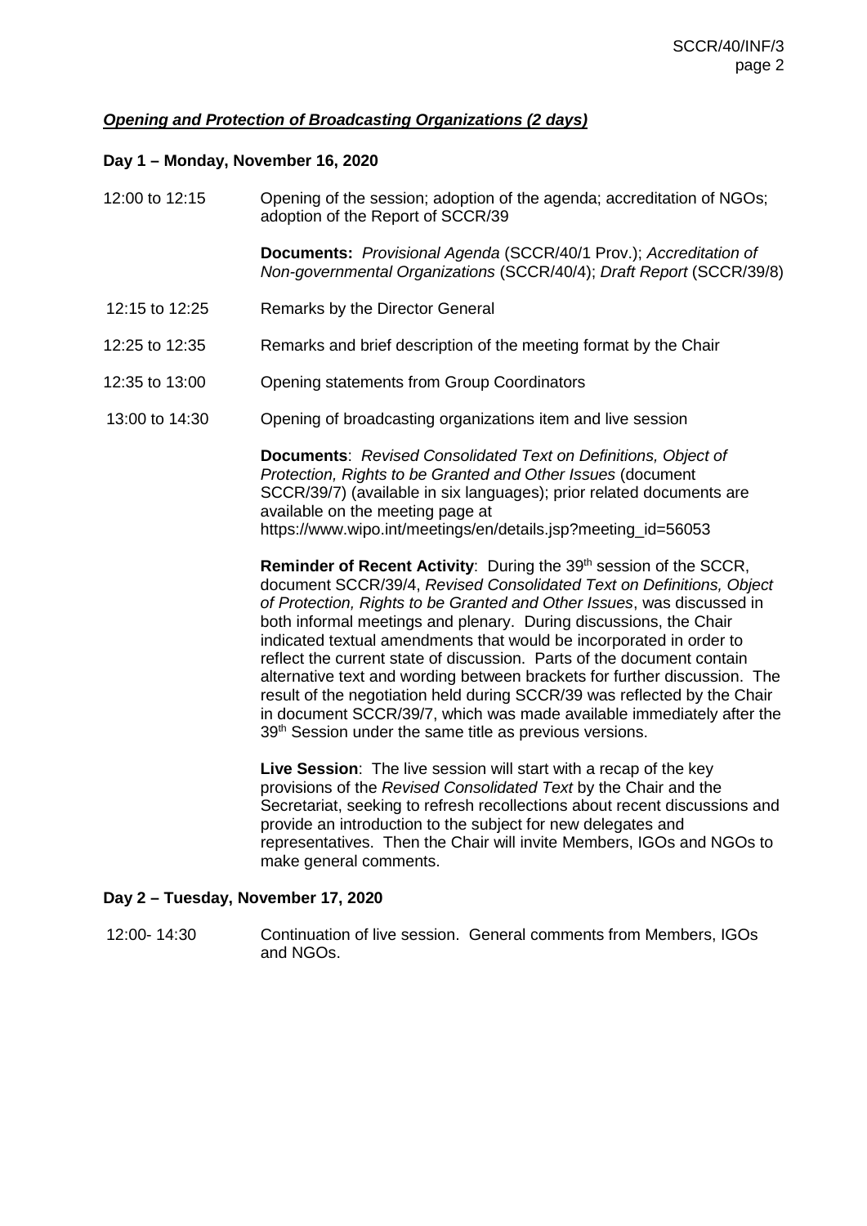# *Opening and Protection of Broadcasting Organizations (2 days)*

### **Day 1 – Monday, November 16, 2020**

| 12:00 to 12:15 | Opening of the session; adoption of the agenda; accreditation of NGOs;<br>adoption of the Report of SCCR/39                                                                                                                                                                                                                                                                                                                                                                                                                                                                                                                                                                   |
|----------------|-------------------------------------------------------------------------------------------------------------------------------------------------------------------------------------------------------------------------------------------------------------------------------------------------------------------------------------------------------------------------------------------------------------------------------------------------------------------------------------------------------------------------------------------------------------------------------------------------------------------------------------------------------------------------------|
|                | Documents: Provisional Agenda (SCCR/40/1 Prov.); Accreditation of<br>Non-governmental Organizations (SCCR/40/4); Draft Report (SCCR/39/8)                                                                                                                                                                                                                                                                                                                                                                                                                                                                                                                                     |
| 12:15 to 12:25 | Remarks by the Director General                                                                                                                                                                                                                                                                                                                                                                                                                                                                                                                                                                                                                                               |
| 12:25 to 12:35 | Remarks and brief description of the meeting format by the Chair                                                                                                                                                                                                                                                                                                                                                                                                                                                                                                                                                                                                              |
| 12:35 to 13:00 | <b>Opening statements from Group Coordinators</b>                                                                                                                                                                                                                                                                                                                                                                                                                                                                                                                                                                                                                             |
| 13:00 to 14:30 | Opening of broadcasting organizations item and live session                                                                                                                                                                                                                                                                                                                                                                                                                                                                                                                                                                                                                   |
|                | <b>Documents:</b> Revised Consolidated Text on Definitions, Object of<br>Protection, Rights to be Granted and Other Issues (document<br>SCCR/39/7) (available in six languages); prior related documents are<br>available on the meeting page at<br>https://www.wipo.int/meetings/en/details.jsp?meeting_id=56053<br>Reminder of Recent Activity: During the 39th session of the SCCR,                                                                                                                                                                                                                                                                                        |
|                | document SCCR/39/4, Revised Consolidated Text on Definitions, Object<br>of Protection, Rights to be Granted and Other Issues, was discussed in<br>both informal meetings and plenary. During discussions, the Chair<br>indicated textual amendments that would be incorporated in order to<br>reflect the current state of discussion. Parts of the document contain<br>alternative text and wording between brackets for further discussion. The<br>result of the negotiation held during SCCR/39 was reflected by the Chair<br>in document SCCR/39/7, which was made available immediately after the<br>39 <sup>th</sup> Session under the same title as previous versions. |
|                | Live Session: The live session will start with a recap of the key<br>provisions of the Revised Consolidated Text by the Chair and the<br>Secretariat, seeking to refresh recollections about recent discussions and<br>provide an introduction to the subject for new delegates and<br>representatives. Then the Chair will invite Members, IGOs and NGOs to<br>make general comments.                                                                                                                                                                                                                                                                                        |

# **Day 2 – Tuesday, November 17, 2020**

12:00- 14:30 Continuation of live session. General comments from Members, IGOs and NGOs.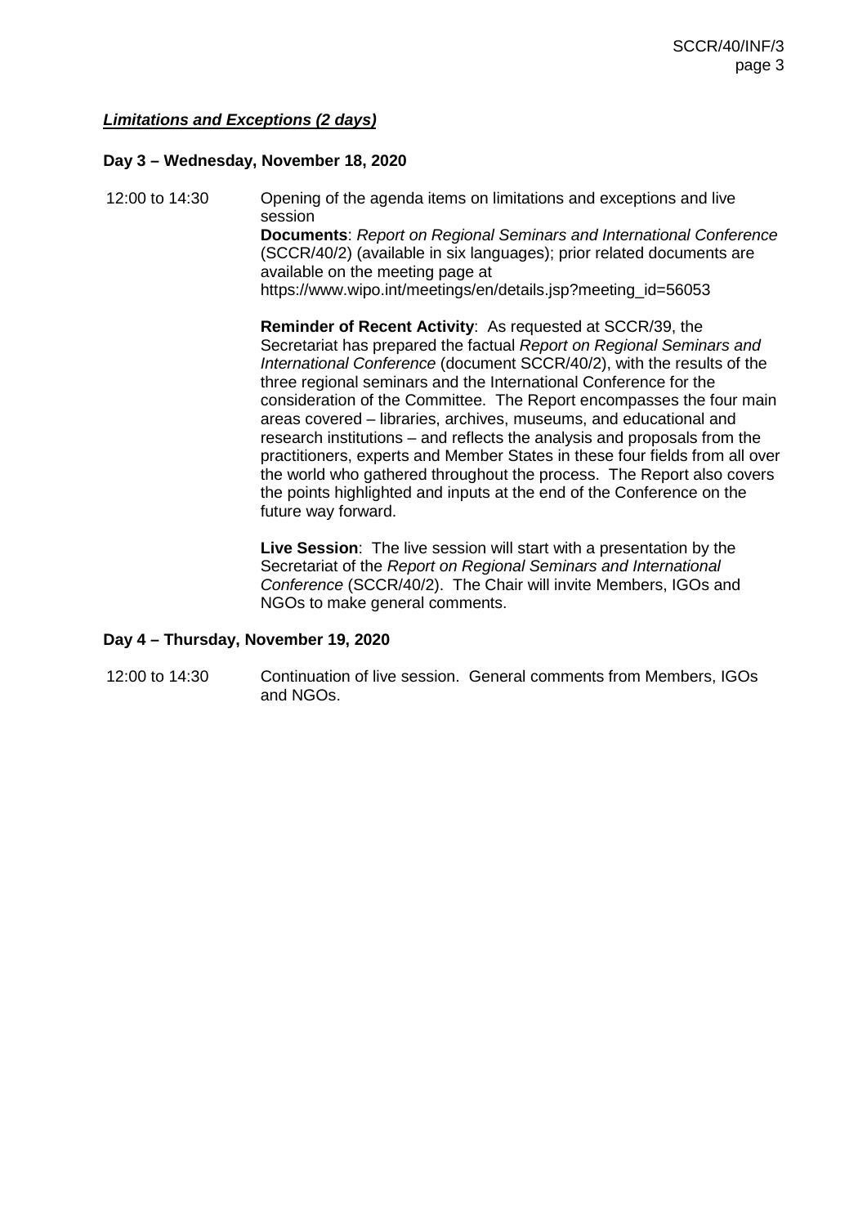## *Limitations and Exceptions (2 days)*

#### **Day 3 – Wednesday, November 18, 2020**

12:00 to 14:30 Opening of the agenda items on limitations and exceptions and live session **Documents**: *Report on Regional Seminars and International Conference* (SCCR/40/2) (available in six languages); prior related documents are available on the meeting page at https://www.wipo.int/meetings/en/details.jsp?meeting\_id=56053

> **Reminder of Recent Activity**: As requested at SCCR/39, the Secretariat has prepared the factual *Report on Regional Seminars and International Conference* (document SCCR/40/2), with the results of the three regional seminars and the International Conference for the consideration of the Committee. The Report encompasses the four main areas covered – libraries, archives, museums, and educational and research institutions – and reflects the analysis and proposals from the practitioners, experts and Member States in these four fields from all over the world who gathered throughout the process. The Report also covers the points highlighted and inputs at the end of the Conference on the future way forward.

**Live Session**: The live session will start with a presentation by the Secretariat of the *Report on Regional Seminars and International Conference* (SCCR/40/2). The Chair will invite Members, IGOs and NGOs to make general comments.

#### **Day 4 – Thursday, November 19, 2020**

12:00 to 14:30 Continuation of live session. General comments from Members, IGOs and NGOs.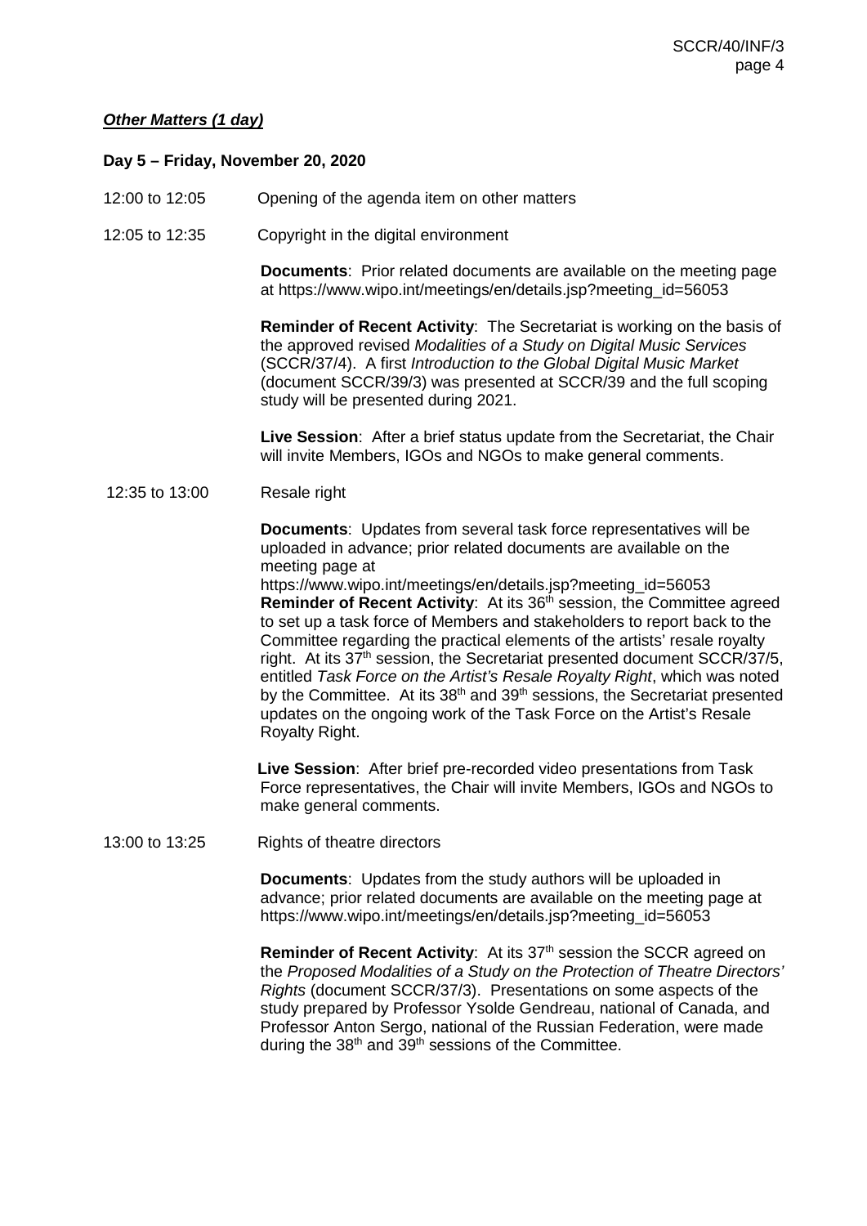## *Other Matters (1 day)*

#### **Day 5 – Friday, November 20, 2020**

- 12:00 to 12:05 Opening of the agenda item on other matters
- 12:05 to 12:35 Copyright in the digital environment

**Documents**: Prior related documents are available on the meeting page at https://www.wipo.int/meetings/en/details.jsp?meeting\_id=56053

**Reminder of Recent Activity**: The Secretariat is working on the basis of the approved revised *Modalities of a Study on Digital Music Services* (SCCR/37/4). A first *Introduction to the Global Digital Music Market* (document SCCR/39/3) was presented at SCCR/39 and the full scoping study will be presented during 2021.

**Live Session**: After a brief status update from the Secretariat, the Chair will invite Members, IGOs and NGOs to make general comments.

#### 12:35 to 13:00 Resale right

**Documents**: Updates from several task force representatives will be uploaded in advance; prior related documents are available on the meeting page at

[https://www.wipo.int/meetings/en/details.jsp?meeting\\_id=56053](https://www.wipo.int/meetings/en/details.jsp?meeting_id=56053) **Reminder of Recent Activity:** At its 36<sup>th</sup> session, the Committee agreed to set up a task force of Members and stakeholders to report back to the Committee regarding the practical elements of the artists' resale royalty right. At its 37<sup>th</sup> session, the Secretariat presented document SCCR/37/5, entitled *Task Force on the Artist's Resale Royalty Right*, which was noted by the Committee. At its  $38<sup>th</sup>$  and  $39<sup>th</sup>$  sessions, the Secretariat presented updates on the ongoing work of the Task Force on the Artist's Resale Royalty Right.

**Live Session**: After brief pre-recorded video presentations from Task Force representatives, the Chair will invite Members, IGOs and NGOs to make general comments.

13:00 to 13:25 Rights of theatre directors

**Documents**: Updates from the study authors will be uploaded in advance; prior related documents are available on the meeting page at [https://www.wipo.int/meetings/en/details.jsp?meeting\\_id=56053](https://www.wipo.int/meetings/en/details.jsp?meeting_id=56053)

**Reminder of Recent Activity:** At its 37<sup>th</sup> session the SCCR agreed on the *Proposed Modalities of a Study on the Protection of Theatre Directors' Rights* (document SCCR/37/3). Presentations on some aspects of the study prepared by Professor Ysolde Gendreau, national of Canada, and Professor Anton Sergo, national of the Russian Federation, were made during the 38<sup>th</sup> and 39<sup>th</sup> sessions of the Committee.